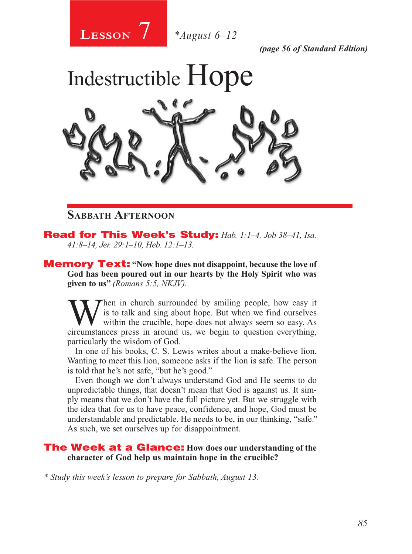

*(page 56 of Standard Edition)*



## **Sabbath Afternoon**

Read for This Week's Study: *Hab. 1:1–4, Job 38–41, Isa. 41:8–14, Jer. 29:1–10, Heb. 12:1–13.*

Memory Text: **"Now hope does not disappoint, because the love of God has been poured out in our hearts by the Holy Spirit who was given to us"** *(Romans 5:5, NKJV).* 

When in church surrounded by smiling people, how easy it<br>within the crucible, hope does not always seem so easy. As<br>circumstances press in around us we begin to question everything is to talk and sing about hope. But when we find ourselves within the crucible, hope does not always seem so easy. As circumstances press in around us, we begin to question everything, particularly the wisdom of God.

In one of his books, C. S. Lewis writes about a make-believe lion. Wanting to meet this lion, someone asks if the lion is safe. The person is told that he's not safe, "but he's good."

Even though we don't always understand God and He seems to do unpredictable things, that doesn't mean that God is against us. It simply means that we don't have the full picture yet. But we struggle with the idea that for us to have peace, confidence, and hope, God must be understandable and predictable. He needs to be, in our thinking, "safe." As such, we set ourselves up for disappointment.

## The Week at a Glance: **How does our understanding of the character of God help us maintain hope in the crucible?**

*\* Study this week's lesson to prepare for Sabbath, August 13.*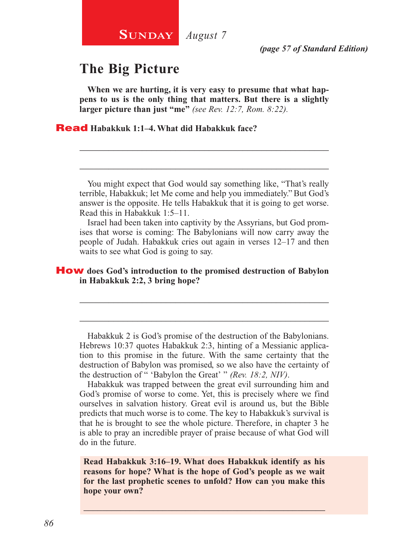# **The Big Picture**

**When we are hurting, it is very easy to presume that what happens to us is the only thing that matters. But there is a slightly larger picture than just "me"** *(see Rev. 12:7, Rom. 8:22).*

\_\_\_\_\_\_\_\_\_\_\_\_\_\_\_\_\_\_\_\_\_\_\_\_\_\_\_\_\_\_\_\_\_\_\_\_\_\_\_\_\_\_\_\_\_\_\_\_\_\_\_\_

\_\_\_\_\_\_\_\_\_\_\_\_\_\_\_\_\_\_\_\_\_\_\_\_\_\_\_\_\_\_\_\_\_\_\_\_\_\_\_\_\_\_\_\_\_\_\_\_\_\_\_\_

Read **Habakkuk 1:1–4. What did Habakkuk face?**

You might expect that God would say something like, "That's really terrible, Habakkuk; let Me come and help you immediately." But God's answer is the opposite. He tells Habakkuk that it is going to get worse. Read this in Habakkuk 1:5–11.

Israel had been taken into captivity by the Assyrians, but God promises that worse is coming: The Babylonians will now carry away the people of Judah. Habakkuk cries out again in verses 12–17 and then waits to see what God is going to say.

#### How **does God's introduction to the promised destruction of Babylon in Habakkuk 2:2, 3 bring hope?**

Habakkuk 2 is God's promise of the destruction of the Babylonians. Hebrews 10:37 quotes Habakkuk 2:3, hinting of a Messianic application to this promise in the future. With the same certainty that the destruction of Babylon was promised, so we also have the certainty of the destruction of " 'Babylon the Great' " *(Rev. 18:2, NIV)*.

\_\_\_\_\_\_\_\_\_\_\_\_\_\_\_\_\_\_\_\_\_\_\_\_\_\_\_\_\_\_\_\_\_\_\_\_\_\_\_\_\_\_\_\_\_\_\_\_\_\_\_\_

\_\_\_\_\_\_\_\_\_\_\_\_\_\_\_\_\_\_\_\_\_\_\_\_\_\_\_\_\_\_\_\_\_\_\_\_\_\_\_\_\_\_\_\_\_\_\_\_\_\_\_\_

Habakkuk was trapped between the great evil surrounding him and God's promise of worse to come. Yet, this is precisely where we find ourselves in salvation history. Great evil is around us, but the Bible predicts that much worse is to come. The key to Habakkuk's survival is that he is brought to see the whole picture. Therefore, in chapter 3 he is able to pray an incredible prayer of praise because of what God will do in the future.

**Read Habakkuk 3:16–19. What does Habakkuk identify as his reasons for hope? What is the hope of God's people as we wait for the last prophetic scenes to unfold? How can you make this hope your own?**

\_\_\_\_\_\_\_\_\_\_\_\_\_\_\_\_\_\_\_\_\_\_\_\_\_\_\_\_\_\_\_\_\_\_\_\_\_\_\_\_\_\_\_\_\_\_\_\_\_\_\_\_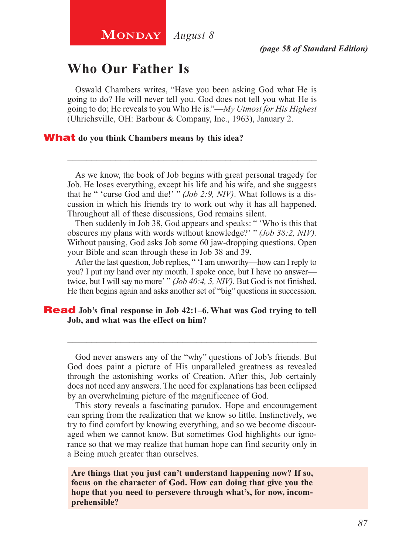# **Who Our Father Is**

Oswald Chambers writes, "Have you been asking God what He is going to do? He will never tell you. God does not tell you what He is going to do; He reveals to you Who He is."—*My Utmost for His Highest* (Uhrichsville, OH: Barbour & Company, Inc., 1963), January 2.

#### What **do you think Chambers means by this idea?**

As we know, the book of Job begins with great personal tragedy for Job. He loses everything, except his life and his wife, and she suggests that he " 'curse God and die!' " *(Job 2:9, NIV)*. What follows is a discussion in which his friends try to work out why it has all happened. Throughout all of these discussions, God remains silent.

\_\_\_\_\_\_\_\_\_\_\_\_\_\_\_\_\_\_\_\_\_\_\_\_\_\_\_\_\_\_\_\_\_\_\_\_\_\_\_\_\_\_\_\_\_\_\_\_\_\_\_\_

Then suddenly in Job 38, God appears and speaks: " 'Who is this that obscures my plans with words without knowledge?' " *(Job 38:2, NIV).* Without pausing, God asks Job some 60 jaw-dropping questions. Open your Bible and scan through these in Job 38 and 39.

After the last question, Job replies, " 'I am unworthy—how can I reply to you? I put my hand over my mouth. I spoke once, but I have no answer twice, but I will say no more' " *(Job 40:4, 5, NIV)*. But God is not finished. He then begins again and asks another set of "big" questions in succession.

#### Read Job's final response in Job 42:1–6. What was God trying to tell **Job, and what was the effect on him?**

God never answers any of the "why" questions of Job's friends. But God does paint a picture of His unparalleled greatness as revealed through the astonishing works of Creation. After this, Job certainly does not need any answers. The need for explanations has been eclipsed by an overwhelming picture of the magnificence of God.

\_\_\_\_\_\_\_\_\_\_\_\_\_\_\_\_\_\_\_\_\_\_\_\_\_\_\_\_\_\_\_\_\_\_\_\_\_\_\_\_\_\_\_\_\_\_\_\_\_\_\_\_

This story reveals a fascinating paradox. Hope and encouragement can spring from the realization that we know so little. Instinctively, we try to find comfort by knowing everything, and so we become discouraged when we cannot know. But sometimes God highlights our ignorance so that we may realize that human hope can find security only in a Being much greater than ourselves.

**Are things that you just can't understand happening now? If so, focus on the character of God. How can doing that give you the hope that you need to persevere through what's, for now, incomprehensible?**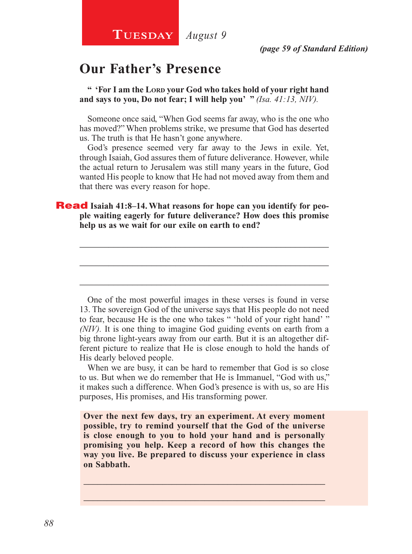# **Our Father's Presence**

**" 'For I am the Lord your God who takes hold of your right hand and says to you, Do not fear; I will help you' "** *(Isa. 41:13, NIV).*

Someone once said, "When God seems far away, who is the one who has moved?" When problems strike, we presume that God has deserted us. The truth is that He hasn't gone anywhere.

God's presence seemed very far away to the Jews in exile. Yet, through Isaiah, God assures them of future deliverance. However, while the actual return to Jerusalem was still many years in the future, God wanted His people to know that He had not moved away from them and that there was every reason for hope.

\_\_\_\_\_\_\_\_\_\_\_\_\_\_\_\_\_\_\_\_\_\_\_\_\_\_\_\_\_\_\_\_\_\_\_\_\_\_\_\_\_\_\_\_\_\_\_\_\_\_\_\_

\_\_\_\_\_\_\_\_\_\_\_\_\_\_\_\_\_\_\_\_\_\_\_\_\_\_\_\_\_\_\_\_\_\_\_\_\_\_\_\_\_\_\_\_\_\_\_\_\_\_\_\_

\_\_\_\_\_\_\_\_\_\_\_\_\_\_\_\_\_\_\_\_\_\_\_\_\_\_\_\_\_\_\_\_\_\_\_\_\_\_\_\_\_\_\_\_\_\_\_\_\_\_\_\_

## **Read** Isaiah 41:8-14. What reasons for hope can you identify for peo**ple waiting eagerly for future deliverance? How does this promise help us as we wait for our exile on earth to end?**

One of the most powerful images in these verses is found in verse 13. The sovereign God of the universe says that His people do not need to fear, because He is the one who takes " 'hold of your right hand' " *(NIV).* It is one thing to imagine God guiding events on earth from a big throne light-years away from our earth. But it is an altogether different picture to realize that He is close enough to hold the hands of His dearly beloved people.

When we are busy, it can be hard to remember that God is so close to us. But when we do remember that He is Immanuel, "God with us," it makes such a difference. When God's presence is with us, so are His purposes, His promises, and His transforming power.

**Over the next few days, try an experiment. At every moment possible, try to remind yourself that the God of the universe is close enough to you to hold your hand and is personally promising you help. Keep a record of how this changes the way you live. Be prepared to discuss your experience in class on Sabbath.**

\_\_\_\_\_\_\_\_\_\_\_\_\_\_\_\_\_\_\_\_\_\_\_\_\_\_\_\_\_\_\_\_\_\_\_\_\_\_\_\_\_\_\_\_\_\_\_\_\_\_\_\_ \_\_\_\_\_\_\_\_\_\_\_\_\_\_\_\_\_\_\_\_\_\_\_\_\_\_\_\_\_\_\_\_\_\_\_\_\_\_\_\_\_\_\_\_\_\_\_\_\_\_\_\_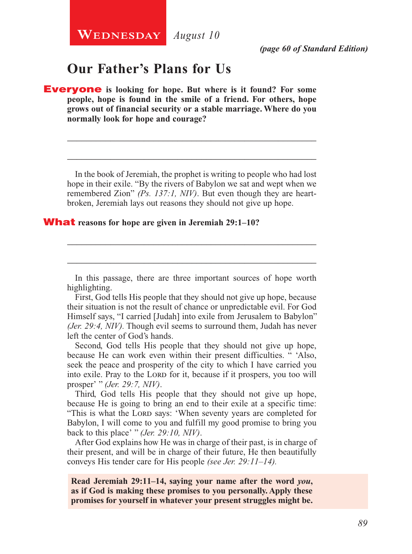**WEDNESDAY** August 10

*(page 60 of Standard Edition)*

## **Our Father's Plans for Us**

Everyone **is looking for hope. But where is it found? For some people, hope is found in the smile of a friend. For others, hope grows out of financial security or a stable marriage. Where do you normally look for hope and courage?**

In the book of Jeremiah, the prophet is writing to people who had lost hope in their exile. "By the rivers of Babylon we sat and wept when we remembered Zion" *(Ps. 137:1, NIV)*. But even though they are heartbroken, Jeremiah lays out reasons they should not give up hope.

\_\_\_\_\_\_\_\_\_\_\_\_\_\_\_\_\_\_\_\_\_\_\_\_\_\_\_\_\_\_\_\_\_\_\_\_\_\_\_\_\_\_\_\_\_\_\_\_\_\_\_\_

\_\_\_\_\_\_\_\_\_\_\_\_\_\_\_\_\_\_\_\_\_\_\_\_\_\_\_\_\_\_\_\_\_\_\_\_\_\_\_\_\_\_\_\_\_\_\_\_\_\_\_\_

#### What **reasons for hope are given in Jeremiah 29:1–10?**

In this passage, there are three important sources of hope worth highlighting.

\_\_\_\_\_\_\_\_\_\_\_\_\_\_\_\_\_\_\_\_\_\_\_\_\_\_\_\_\_\_\_\_\_\_\_\_\_\_\_\_\_\_\_\_\_\_\_\_\_\_\_\_

\_\_\_\_\_\_\_\_\_\_\_\_\_\_\_\_\_\_\_\_\_\_\_\_\_\_\_\_\_\_\_\_\_\_\_\_\_\_\_\_\_\_\_\_\_\_\_\_\_\_\_\_

First, God tells His people that they should not give up hope, because their situation is not the result of chance or unpredictable evil. For God Himself says, "I carried [Judah] into exile from Jerusalem to Babylon" *(Jer. 29:4, NIV).* Though evil seems to surround them, Judah has never left the center of God's hands.

Second, God tells His people that they should not give up hope, because He can work even within their present difficulties. " 'Also, seek the peace and prosperity of the city to which I have carried you into exile. Pray to the LORD for it, because if it prospers, you too will prosper' " *(Jer. 29:7, NIV)*.

Third, God tells His people that they should not give up hope, because He is going to bring an end to their exile at a specific time: "This is what the LORD says: 'When seventy years are completed for Babylon, I will come to you and fulfill my good promise to bring you back to this place' " *(Jer. 29:10, NIV)*.

After God explains how He was in charge of their past, is in charge of their present, and will be in charge of their future, He then beautifully conveys His tender care for His people *(see Jer. 29:11–14).*

**Read Jeremiah 29:11–14, saying your name after the word** *you***, as if God is making these promises to you personally. Apply these promises for yourself in whatever your present struggles might be.**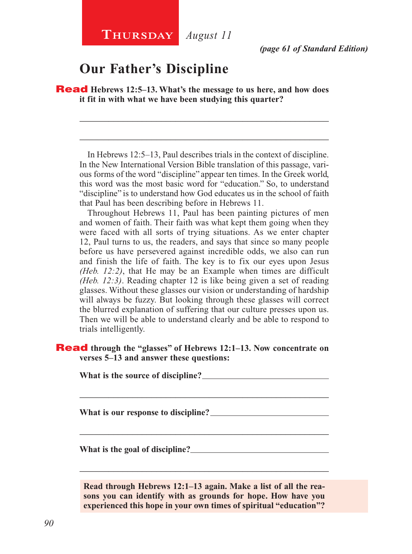# **Our Father's Discipline**

Read **Hebrews 12:5–13. What's the message to us here, and how does it fit in with what we have been studying this quarter?**

In Hebrews 12:5–13, Paul describes trials in the context of discipline. In the New International Version Bible translation of this passage, various forms of the word "discipline" appear ten times. In the Greek world, this word was the most basic word for "education." So, to understand "discipline" is to understand how God educates us in the school of faith that Paul has been describing before in Hebrews 11.

\_\_\_\_\_\_\_\_\_\_\_\_\_\_\_\_\_\_\_\_\_\_\_\_\_\_\_\_\_\_\_\_\_\_\_\_\_\_\_\_\_\_\_\_\_\_\_\_\_\_\_\_

\_\_\_\_\_\_\_\_\_\_\_\_\_\_\_\_\_\_\_\_\_\_\_\_\_\_\_\_\_\_\_\_\_\_\_\_\_\_\_\_\_\_\_\_\_\_\_\_\_\_\_\_

Throughout Hebrews 11, Paul has been painting pictures of men and women of faith. Their faith was what kept them going when they were faced with all sorts of trying situations. As we enter chapter 12, Paul turns to us, the readers, and says that since so many people before us have persevered against incredible odds, we also can run and finish the life of faith. The key is to fix our eyes upon Jesus *(Heb. 12:2)*, that He may be an Example when times are difficult *(Heb. 12:3)*. Reading chapter 12 is like being given a set of reading glasses. Without these glasses our vision or understanding of hardship will always be fuzzy. But looking through these glasses will correct the blurred explanation of suffering that our culture presses upon us. Then we will be able to understand clearly and be able to respond to trials intelligently.

#### Read **through the "glasses" of Hebrews 12:1–13. Now concentrate on verses 5–13 and answer these questions:**

\_\_\_\_\_\_\_\_\_\_\_\_\_\_\_\_\_\_\_\_\_\_\_\_\_\_\_\_\_\_\_\_\_\_\_\_\_\_\_\_\_\_\_\_\_\_\_\_\_\_\_\_

\_\_\_\_\_\_\_\_\_\_\_\_\_\_\_\_\_\_\_\_\_\_\_\_\_\_\_\_\_\_\_\_\_\_\_\_\_\_\_\_\_\_\_\_\_\_\_\_\_\_\_\_

**What is the source of discipline?** 

**What is our response to discipline?** 

**What is the goal of discipline?** 

**Read through Hebrews 12:1–13 again. Make a list of all the reasons you can identify with as grounds for hope. How have you experienced this hope in your own times of spiritual "education"?**

\_\_\_\_\_\_\_\_\_\_\_\_\_\_\_\_\_\_\_\_\_\_\_\_\_\_\_\_\_\_\_\_\_\_\_\_\_\_\_\_\_\_\_\_\_\_\_\_\_\_\_\_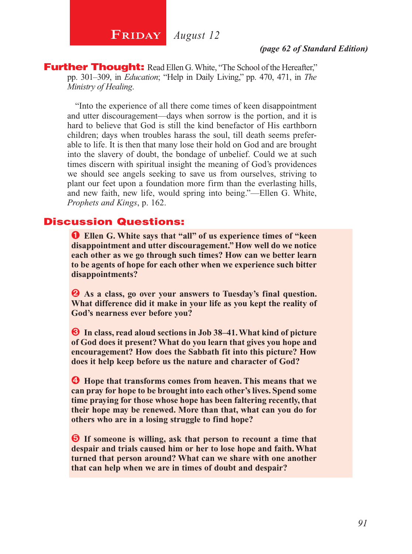**FRIDAY** August 12

#### *(page 62 of Standard Edition)*

**Further Thought:** Read Ellen G. White, "The School of the Hereafter," pp. 301–309, in *Education*; "Help in Daily Living," pp. 470, 471, in *The Ministry of Healing*.

"Into the experience of all there come times of keen disappointment and utter discouragement—days when sorrow is the portion, and it is hard to believe that God is still the kind benefactor of His earthborn children; days when troubles harass the soul, till death seems preferable to life. It is then that many lose their hold on God and are brought into the slavery of doubt, the bondage of unbelief. Could we at such times discern with spiritual insight the meaning of God's providences we should see angels seeking to save us from ourselves, striving to plant our feet upon a foundation more firm than the everlasting hills, and new faith, new life, would spring into being."—Ellen G. White, *Prophets and Kings*, p. 162.

## Discussion Questions:

Ê **Ellen G. White says that "all" of us experience times of "keen disappointment and utter discouragement." How well do we notice each other as we go through such times? How can we better learn to be agents of hope for each other when we experience such bitter disappointments?**

 $\bullet$  As a class, go over your answers to Tuesday's final question. **What difference did it make in your life as you kept the reality of God's nearness ever before you?**

 $\bullet$  In class, read aloud sections in Job 38–41. What kind of picture **of God does it present? What do you learn that gives you hope and encouragement? How does the Sabbath fit into this picture? How does it help keep before us the nature and character of God?**

 $\bullet$  Hope that transforms comes from heaven. This means that we **can pray for hope to be brought into each other's lives. Spend some time praying for those whose hope has been faltering recently, that their hope may be renewed. More than that, what can you do for others who are in a losing struggle to find hope?**

 $\Theta$  If someone is willing, ask that person to recount a time that **despair and trials caused him or her to lose hope and faith. What turned that person around? What can we share with one another that can help when we are in times of doubt and despair?**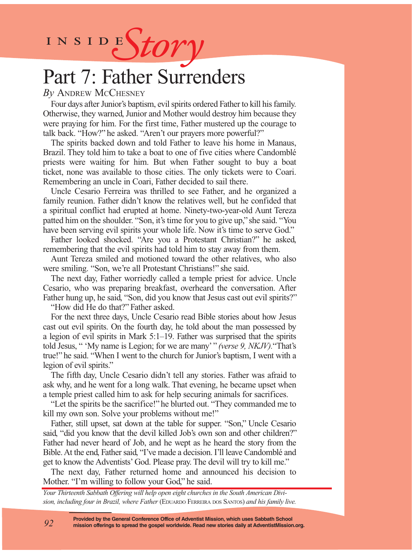INSIDES*tory* 

# Part 7: Father Surrenders

## *By* Andrew McChesney

Four days after Junior's baptism, evil spirits ordered Father to kill his family. Otherwise, they warned, Junior and Mother would destroy him because they were praying for him. For the first time, Father mustered up the courage to talk back. "How?" he asked. "Aren't our prayers more powerful?"

The spirits backed down and told Father to leave his home in Manaus, Brazil. They told him to take a boat to one of five cities where Candomblé priests were waiting for him. But when Father sought to buy a boat ticket, none was available to those cities. The only tickets were to Coari. Remembering an uncle in Coari, Father decided to sail there.

Uncle Cesario Ferreira was thrilled to see Father, and he organized a family reunion. Father didn't know the relatives well, but he confided that a spiritual conflict had erupted at home. Ninety-two-year-old Aunt Tereza patted him on the shoulder. "Son, it's time for you to give up," she said. "You have been serving evil spirits your whole life. Now it's time to serve God."

Father looked shocked. "Are you a Protestant Christian?" he asked, remembering that the evil spirits had told him to stay away from them.

Aunt Tereza smiled and motioned toward the other relatives, who also were smiling. "Son, we're all Protestant Christians!" she said.

The next day, Father worriedly called a temple priest for advice. Uncle Cesario, who was preparing breakfast, overheard the conversation. After Father hung up, he said, "Son, did you know that Jesus cast out evil spirits?" "How did He do that?" Father asked.

For the next three days, Uncle Cesario read Bible stories about how Jesus cast out evil spirits. On the fourth day, he told about the man possessed by a legion of evil spirits in Mark 5:1–19. Father was surprised that the spirits told Jesus, " 'My name is Legion; for we are many' " *(verse 9, NKJV).*"That's true!" he said. "When I went to the church for Junior's baptism, I went with a legion of evil spirits."

The fifth day, Uncle Cesario didn't tell any stories. Father was afraid to ask why, and he went for a long walk. That evening, he became upset when a temple priest called him to ask for help securing animals for sacrifices.

"Let the spirits be the sacrifice!" he blurted out. "They commanded me to kill my own son. Solve your problems without me!"

Father, still upset, sat down at the table for supper. "Son," Uncle Cesario said, "did you know that the devil killed Job's own son and other children?" Father had never heard of Job, and he wept as he heard the story from the Bible. At the end, Father said, "I've made a decision. I'll leave Candomblé and get to know the Adventists' God. Please pray. The devil will try to kill me."

The next day, Father returned home and announced his decision to Mother. "I'm willing to follow your God," he said.

*Your Thirteenth Sabbath Offering will help open eight churches in the South American Division, including four in Brazil, where Father* (Eduardo Ferreira dos Santos) *and his family live.*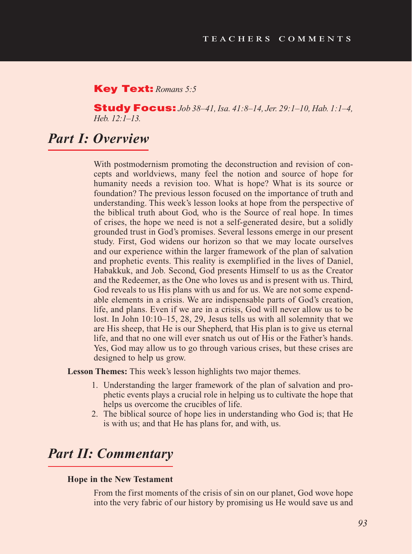#### Key Text: *Romans 5:5*

Study Focus: *Job 38–41, Isa. 41:8–14, Jer. 29:1–10, Hab. 1:1–4, Heb. 12:1–13.*

## *Part I: Overview*

With postmodernism promoting the deconstruction and revision of concepts and worldviews, many feel the notion and source of hope for humanity needs a revision too. What is hope? What is its source or foundation? The previous lesson focused on the importance of truth and understanding. This week's lesson looks at hope from the perspective of the biblical truth about God, who is the Source of real hope. In times of crises, the hope we need is not a self-generated desire, but a solidly grounded trust in God's promises. Several lessons emerge in our present study. First, God widens our horizon so that we may locate ourselves and our experience within the larger framework of the plan of salvation and prophetic events. This reality is exemplified in the lives of Daniel, Habakkuk, and Job. Second, God presents Himself to us as the Creator and the Redeemer, as the One who loves us and is present with us. Third, God reveals to us His plans with us and for us. We are not some expendable elements in a crisis. We are indispensable parts of God's creation, life, and plans. Even if we are in a crisis, God will never allow us to be lost. In John 10:10–15, 28, 29, Jesus tells us with all solemnity that we are His sheep, that He is our Shepherd, that His plan is to give us eternal life, and that no one will ever snatch us out of His or the Father's hands. Yes, God may allow us to go through various crises, but these crises are designed to help us grow.

**Lesson Themes:** This week's lesson highlights two major themes.

- 1. Understanding the larger framework of the plan of salvation and prophetic events plays a crucial role in helping us to cultivate the hope that helps us overcome the crucibles of life.
- 2. The biblical source of hope lies in understanding who God is; that He is with us; and that He has plans for, and with, us.

# *Part II: Commentary*

#### **Hope in the New Testament**

From the first moments of the crisis of sin on our planet, God wove hope into the very fabric of our history by promising us He would save us and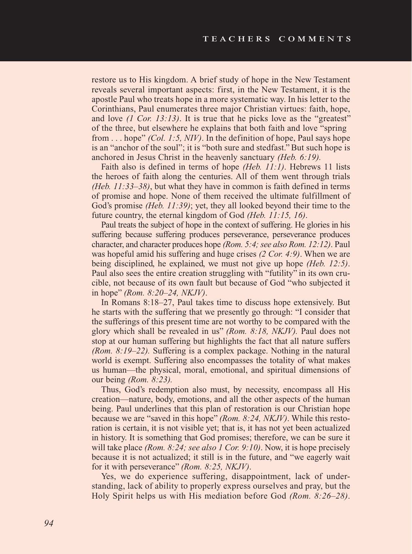restore us to His kingdom. A brief study of hope in the New Testament reveals several important aspects: first, in the New Testament, it is the apostle Paul who treats hope in a more systematic way. In his letter to the Corinthians, Paul enumerates three major Christian virtues: faith, hope, and love *(1 Cor. 13:13)*. It is true that he picks love as the "greatest" of the three, but elsewhere he explains that both faith and love "spring from . . . hope" *(Col. 1:5, NIV)*. In the definition of hope, Paul says hope is an "anchor of the soul"; it is "both sure and stedfast." But such hope is anchored in Jesus Christ in the heavenly sanctuary *(Heb. 6:19).*

Faith also is defined in terms of hope *(Heb. 11:1)*. Hebrews 11 lists the heroes of faith along the centuries. All of them went through trials *(Heb. 11:33–38)*, but what they have in common is faith defined in terms of promise and hope. None of them received the ultimate fulfillment of God's promise *(Heb. 11:39)*; yet, they all looked beyond their time to the future country, the eternal kingdom of God *(Heb. 11:15, 16)*.

Paul treats the subject of hope in the context of suffering. He glories in his suffering because suffering produces perseverance, perseverance produces character, and character produces hope *(Rom. 5:4; see also Rom. 12:12)*. Paul was hopeful amid his suffering and huge crises *(2 Cor. 4:9)*. When we are being disciplined, he explained, we must not give up hope *(Heb. 12:5)*. Paul also sees the entire creation struggling with "futility" in its own crucible, not because of its own fault but because of God "who subjected it in hope" *(Rom. 8:20–24, NKJV)*.

In Romans 8:18–27, Paul takes time to discuss hope extensively. But he starts with the suffering that we presently go through: "I consider that the sufferings of this present time are not worthy to be compared with the glory which shall be revealed in us" *(Rom. 8:18, NKJV).* Paul does not stop at our human suffering but highlights the fact that all nature suffers *(Rom. 8:19–22).* Suffering is a complex package. Nothing in the natural world is exempt. Suffering also encompasses the totality of what makes us human—the physical, moral, emotional, and spiritual dimensions of our being *(Rom. 8:23).*

Thus, God's redemption also must, by necessity, encompass all His creation—nature, body, emotions, and all the other aspects of the human being. Paul underlines that this plan of restoration is our Christian hope because we are "saved in this hope" *(Rom. 8:24, NKJV)*. While this restoration is certain, it is not visible yet; that is, it has not yet been actualized in history. It is something that God promises; therefore, we can be sure it will take place *(Rom. 8:24; see also 1 Cor. 9:10)*. Now, it is hope precisely because it is not actualized; it still is in the future, and "we eagerly wait for it with perseverance" *(Rom. 8:25, NKJV)*.

Yes, we do experience suffering, disappointment, lack of understanding, lack of ability to properly express ourselves and pray, but the Holy Spirit helps us with His mediation before God *(Rom. 8:26–28)*.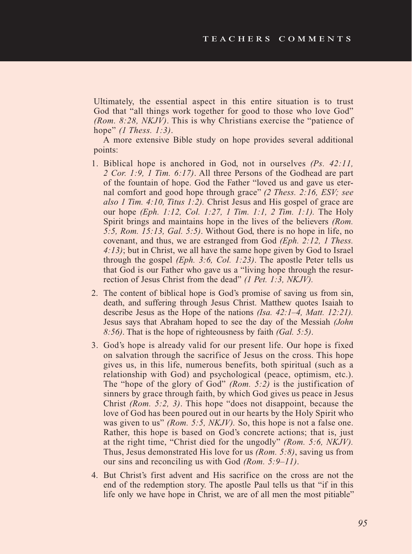Ultimately, the essential aspect in this entire situation is to trust God that "all things work together for good to those who love God" *(Rom. 8:28, NKJV)*. This is why Christians exercise the "patience of hope" *(1 Thess. 1:3)*.

A more extensive Bible study on hope provides several additional points:

- 1. Biblical hope is anchored in God, not in ourselves *(Ps. 42:11, 2 Cor. 1:9, 1 Tim. 6:17)*. All three Persons of the Godhead are part of the fountain of hope. God the Father "loved us and gave us eternal comfort and good hope through grace" *(2 Thess. 2:16, ESV; see also 1 Tim. 4:10, Titus 1:2).* Christ Jesus and His gospel of grace are our hope *(Eph. 1:12, Col. 1:27, 1 Tim. 1:1, 2 Tim. 1:1).* The Holy Spirit brings and maintains hope in the lives of the believers *(Rom. 5:5, Rom. 15:13, Gal. 5:5)*. Without God, there is no hope in life, no covenant, and thus, we are estranged from God *(Eph. 2:12, 1 Thess. 4:13)*; but in Christ, we all have the same hope given by God to Israel through the gospel *(Eph. 3:6, Col. 1:23)*. The apostle Peter tells us that God is our Father who gave us a "living hope through the resurrection of Jesus Christ from the dead" *(1 Pet. 1:3, NKJV).*
- 2. The content of biblical hope is God's promise of saving us from sin, death, and suffering through Jesus Christ. Matthew quotes Isaiah to describe Jesus as the Hope of the nations *(Isa. 42:1–4, Matt. 12:21).* Jesus says that Abraham hoped to see the day of the Messiah *(John 8:56)*. That is the hope of righteousness by faith *(Gal. 5:5)*.
- 3. God's hope is already valid for our present life. Our hope is fixed on salvation through the sacrifice of Jesus on the cross. This hope gives us, in this life, numerous benefits, both spiritual (such as a relationship with God) and psychological (peace, optimism, etc.). The "hope of the glory of God" *(Rom. 5:2)* is the justification of sinners by grace through faith, by which God gives us peace in Jesus Christ *(Rom. 5:2, 3)*. This hope "does not disappoint, because the love of God has been poured out in our hearts by the Holy Spirit who was given to us" *(Rom. 5:5, NKJV).* So, this hope is not a false one. Rather, this hope is based on God's concrete actions; that is, just at the right time, "Christ died for the ungodly" *(Rom. 5:6, NKJV).*  Thus, Jesus demonstrated His love for us *(Rom. 5:8)*, saving us from our sins and reconciling us with God *(Rom. 5:9–11)*.
- 4. But Christ's first advent and His sacrifice on the cross are not the end of the redemption story. The apostle Paul tells us that "if in this life only we have hope in Christ, we are of all men the most pitiable"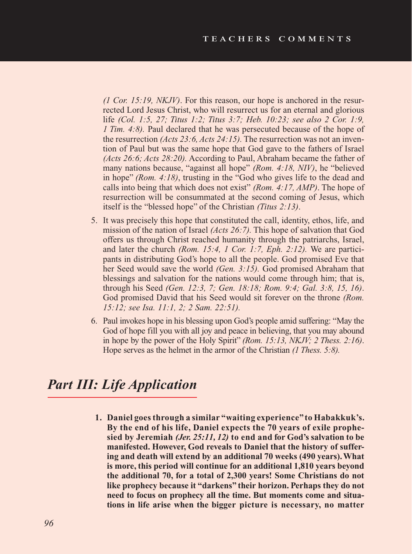*(1 Cor. 15:19, NKJV)*. For this reason, our hope is anchored in the resurrected Lord Jesus Christ, who will resurrect us for an eternal and glorious life *(Col. 1:5, 27; Titus 1:2; Titus 3:7; Heb. 10:23; see also 2 Cor. 1:9, 1 Tim. 4:8).* Paul declared that he was persecuted because of the hope of the resurrection *(Acts 23:6, Acts 24:15).* The resurrection was not an invention of Paul but was the same hope that God gave to the fathers of Israel *(Acts 26:6; Acts 28:20).* According to Paul, Abraham became the father of many nations because, "against all hope" *(Rom. 4:18, NIV)*, he "believed in hope" *(Rom. 4:18)*, trusting in the "God who gives life to the dead and calls into being that which does not exist" *(Rom. 4:17, AMP)*. The hope of resurrection will be consummated at the second coming of Jesus, which itself is the "blessed hope" of the Christian *(Titus 2:13)*.

- 5. It was precisely this hope that constituted the call, identity, ethos, life, and mission of the nation of Israel *(Acts 26:7).* This hope of salvation that God offers us through Christ reached humanity through the patriarchs, Israel, and later the church *(Rom. 15:4, 1 Cor. 1:7, Eph. 2:12).* We are participants in distributing God's hope to all the people. God promised Eve that her Seed would save the world *(Gen. 3:15).* God promised Abraham that blessings and salvation for the nations would come through him; that is, through his Seed *(Gen. 12:3, 7; Gen. 18:18; Rom. 9:4; Gal. 3:8, 15, 16)*. God promised David that his Seed would sit forever on the throne *(Rom. 15:12; see Isa. 11:1, 2; 2 Sam. 22:51).*
- 6. Paul invokes hope in his blessing upon God's people amid suffering: "May the God of hope fill you with all joy and peace in believing, that you may abound in hope by the power of the Holy Spirit" *(Rom. 15:13, NKJV; 2 Thess. 2:16)*. Hope serves as the helmet in the armor of the Christian *(1 Thess. 5:8).*

## *Part III: Life Application*

**1. Daniel goes through a similar "waiting experience" to Habakkuk's. By the end of his life, Daniel expects the 70 years of exile prophesied by Jeremiah** *(Jer. 25:11, 12)* **to end and for God's salvation to be manifested. However, God reveals to Daniel that the history of suffering and death will extend by an additional 70 weeks (490 years). What is more, this period will continue for an additional 1,810 years beyond the additional 70, for a total of 2,300 years! Some Christians do not like prophecy because it "darkens" their horizon. Perhaps they do not need to focus on prophecy all the time. But moments come and situations in life arise when the bigger picture is necessary, no matter**